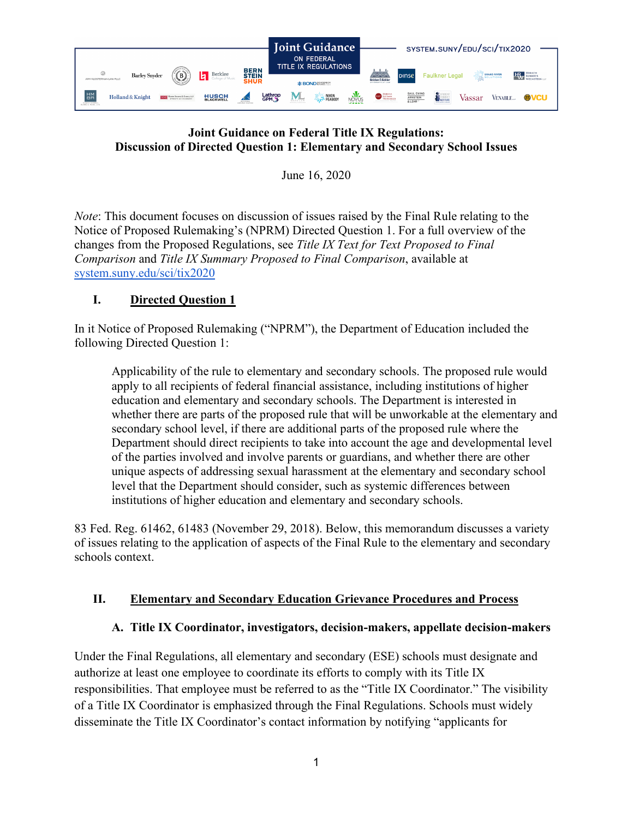

#### **Joint Guidance on Federal Title IX Regulations: Discussion of Directed Question 1: Elementary and Secondary School Issues**

June 16, 2020

*Note*: This document focuses on discussion of issues raised by the Final Rule relating to the Notice of Proposed Rulemaking's (NPRM) Directed Question 1. For a full overview of the changes from the Proposed Regulations, see *Title IX Text for Text Proposed to Final Comparison* and *Title IX Summary Proposed to Final Comparison*, available at [system.suny.edu/sci/tix2020](https://system.suny.edu/sci/tix2020/)

## **I. Directed Question 1**

In it Notice of Proposed Rulemaking ("NPRM"), the Department of Education included the following Directed Question 1:

Applicability of the rule to elementary and secondary schools. The proposed rule would apply to all recipients of federal financial assistance, including institutions of higher education and elementary and secondary schools. The Department is interested in whether there are parts of the proposed rule that will be unworkable at the elementary and secondary school level, if there are additional parts of the proposed rule where the Department should direct recipients to take into account the age and developmental level of the parties involved and involve parents or guardians, and whether there are other unique aspects of addressing sexual harassment at the elementary and secondary school level that the Department should consider, such as systemic differences between institutions of higher education and elementary and secondary schools.

83 Fed. Reg. 61462, 61483 (November 29, 2018). Below, this memorandum discusses a variety of issues relating to the application of aspects of the Final Rule to the elementary and secondary schools context.

## **II. Elementary and Secondary Education Grievance Procedures and Process**

## **A. Title IX Coordinator, investigators, decision-makers, appellate decision-makers**

Under the Final Regulations, all elementary and secondary (ESE) schools must designate and authorize at least one employee to coordinate its efforts to comply with its Title IX responsibilities. That employee must be referred to as the "Title IX Coordinator." The visibility of a Title IX Coordinator is emphasized through the Final Regulations. Schools must widely disseminate the Title IX Coordinator's contact information by notifying "applicants for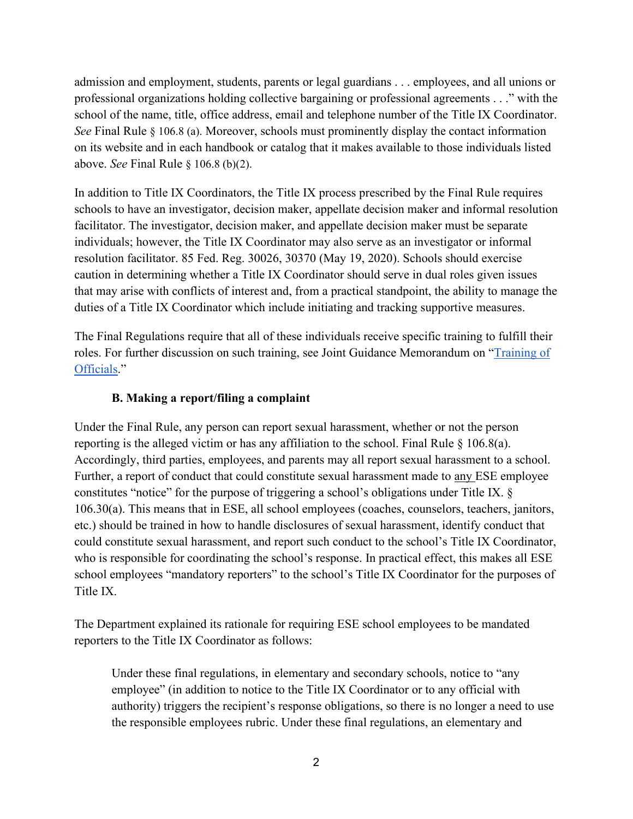admission and employment, students, parents or legal guardians . . . employees, and all unions or professional organizations holding collective bargaining or professional agreements . . ." with the school of the name, title, office address, email and telephone number of the Title IX Coordinator. *See* Final Rule § 106.8 (a). Moreover, schools must prominently display the contact information on its website and in each handbook or catalog that it makes available to those individuals listed above. *See* Final Rule § 106.8 (b)(2).

In addition to Title IX Coordinators, the Title IX process prescribed by the Final Rule requires schools to have an investigator, decision maker, appellate decision maker and informal resolution facilitator. The investigator, decision maker, and appellate decision maker must be separate individuals; however, the Title IX Coordinator may also serve as an investigator or informal resolution facilitator. 85 Fed. Reg. 30026, 30370 (May 19, 2020). Schools should exercise caution in determining whether a Title IX Coordinator should serve in dual roles given issues that may arise with conflicts of interest and, from a practical standpoint, the ability to manage the duties of a Title IX Coordinator which include initiating and tracking supportive measures.

The Final Regulations require that all of these individuals receive specific training to fulfill their roles. For further discussion on such training, see Joint Guidance Memorandum on ["Training of](https://system.suny.edu/media/suny/content-assets/documents/sci/tix2020/Training-of-Officials.pdf)  [Officials.](https://system.suny.edu/media/suny/content-assets/documents/sci/tix2020/Training-of-Officials.pdf)"

## **B. Making a report/filing a complaint**

Under the Final Rule, any person can report sexual harassment, whether or not the person reporting is the alleged victim or has any affiliation to the school. Final Rule  $\S$  106.8(a). Accordingly, third parties, employees, and parents may all report sexual harassment to a school. Further, a report of conduct that could constitute sexual harassment made to any ESE employee constitutes "notice" for the purpose of triggering a school's obligations under Title IX. § 106.30(a). This means that in ESE, all school employees (coaches, counselors, teachers, janitors, etc.) should be trained in how to handle disclosures of sexual harassment, identify conduct that could constitute sexual harassment, and report such conduct to the school's Title IX Coordinator, who is responsible for coordinating the school's response. In practical effect, this makes all ESE school employees "mandatory reporters" to the school's Title IX Coordinator for the purposes of Title IX.

The Department explained its rationale for requiring ESE school employees to be mandated reporters to the Title IX Coordinator as follows:

Under these final regulations, in elementary and secondary schools, notice to "any employee" (in addition to notice to the Title IX Coordinator or to any official with authority) triggers the recipient's response obligations, so there is no longer a need to use the responsible employees rubric. Under these final regulations, an elementary and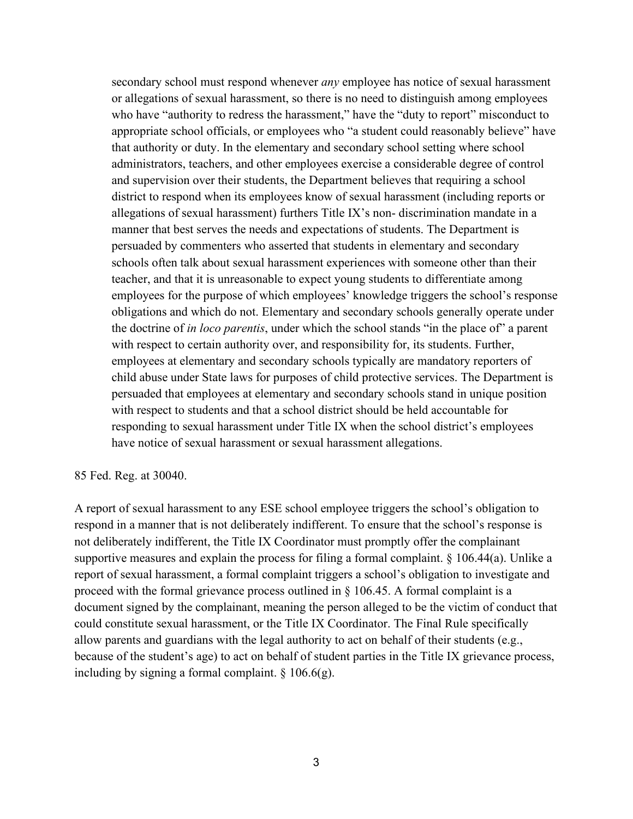secondary school must respond whenever *any* employee has notice of sexual harassment or allegations of sexual harassment, so there is no need to distinguish among employees who have "authority to redress the harassment," have the "duty to report" misconduct to appropriate school officials, or employees who "a student could reasonably believe" have that authority or duty. In the elementary and secondary school setting where school administrators, teachers, and other employees exercise a considerable degree of control and supervision over their students, the Department believes that requiring a school district to respond when its employees know of sexual harassment (including reports or allegations of sexual harassment) furthers Title IX's non- discrimination mandate in a manner that best serves the needs and expectations of students. The Department is persuaded by commenters who asserted that students in elementary and secondary schools often talk about sexual harassment experiences with someone other than their teacher, and that it is unreasonable to expect young students to differentiate among employees for the purpose of which employees' knowledge triggers the school's response obligations and which do not. Elementary and secondary schools generally operate under the doctrine of *in loco parentis*, under which the school stands "in the place of" a parent with respect to certain authority over, and responsibility for, its students. Further, employees at elementary and secondary schools typically are mandatory reporters of child abuse under State laws for purposes of child protective services. The Department is persuaded that employees at elementary and secondary schools stand in unique position with respect to students and that a school district should be held accountable for responding to sexual harassment under Title IX when the school district's employees have notice of sexual harassment or sexual harassment allegations.

#### 85 Fed. Reg. at 30040.

A report of sexual harassment to any ESE school employee triggers the school's obligation to respond in a manner that is not deliberately indifferent. To ensure that the school's response is not deliberately indifferent, the Title IX Coordinator must promptly offer the complainant supportive measures and explain the process for filing a formal complaint. § 106.44(a). Unlike a report of sexual harassment, a formal complaint triggers a school's obligation to investigate and proceed with the formal grievance process outlined in § 106.45. A formal complaint is a document signed by the complainant, meaning the person alleged to be the victim of conduct that could constitute sexual harassment, or the Title IX Coordinator. The Final Rule specifically allow parents and guardians with the legal authority to act on behalf of their students (e.g., because of the student's age) to act on behalf of student parties in the Title IX grievance process, including by signing a formal complaint.  $\S 106.6(g)$ .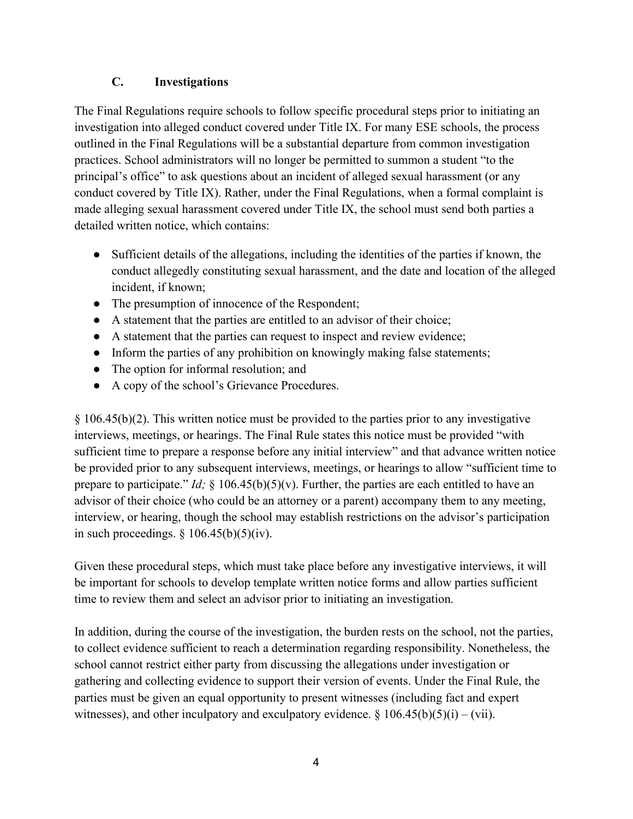### **C. Investigations**

The Final Regulations require schools to follow specific procedural steps prior to initiating an investigation into alleged conduct covered under Title IX. For many ESE schools, the process outlined in the Final Regulations will be a substantial departure from common investigation practices. School administrators will no longer be permitted to summon a student "to the principal's office" to ask questions about an incident of alleged sexual harassment (or any conduct covered by Title IX). Rather, under the Final Regulations, when a formal complaint is made alleging sexual harassment covered under Title IX, the school must send both parties a detailed written notice, which contains:

- Sufficient details of the allegations, including the identities of the parties if known, the conduct allegedly constituting sexual harassment, and the date and location of the alleged incident, if known;
- The presumption of innocence of the Respondent;
- A statement that the parties are entitled to an advisor of their choice;
- A statement that the parties can request to inspect and review evidence;
- Inform the parties of any prohibition on knowingly making false statements;
- The option for informal resolution; and
- A copy of the school's Grievance Procedures.

§ 106.45(b)(2). This written notice must be provided to the parties prior to any investigative interviews, meetings, or hearings. The Final Rule states this notice must be provided "with sufficient time to prepare a response before any initial interview" and that advance written notice be provided prior to any subsequent interviews, meetings, or hearings to allow "sufficient time to prepare to participate." *Id;* § 106.45(b)(5)(v). Further, the parties are each entitled to have an advisor of their choice (who could be an attorney or a parent) accompany them to any meeting, interview, or hearing, though the school may establish restrictions on the advisor's participation in such proceedings.  $\S 106.45(b)(5)(iv)$ .

Given these procedural steps, which must take place before any investigative interviews, it will be important for schools to develop template written notice forms and allow parties sufficient time to review them and select an advisor prior to initiating an investigation.

In addition, during the course of the investigation, the burden rests on the school, not the parties, to collect evidence sufficient to reach a determination regarding responsibility. Nonetheless, the school cannot restrict either party from discussing the allegations under investigation or gathering and collecting evidence to support their version of events. Under the Final Rule, the parties must be given an equal opportunity to present witnesses (including fact and expert witnesses), and other inculpatory and exculpatory evidence.  $\S 106.45(b)(5)(i) - (vii)$ .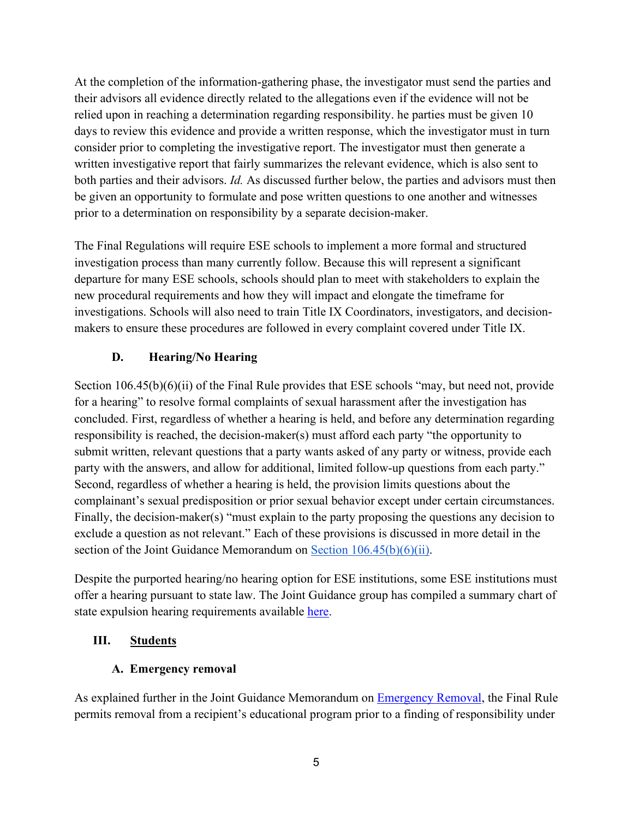At the completion of the information-gathering phase, the investigator must send the parties and their advisors all evidence directly related to the allegations even if the evidence will not be relied upon in reaching a determination regarding responsibility. he parties must be given 10 days to review this evidence and provide a written response, which the investigator must in turn consider prior to completing the investigative report. The investigator must then generate a written investigative report that fairly summarizes the relevant evidence, which is also sent to both parties and their advisors. *Id.* As discussed further below, the parties and advisors must then be given an opportunity to formulate and pose written questions to one another and witnesses prior to a determination on responsibility by a separate decision-maker.

The Final Regulations will require ESE schools to implement a more formal and structured investigation process than many currently follow. Because this will represent a significant departure for many ESE schools, schools should plan to meet with stakeholders to explain the new procedural requirements and how they will impact and elongate the timeframe for investigations. Schools will also need to train Title IX Coordinators, investigators, and decisionmakers to ensure these procedures are followed in every complaint covered under Title IX.

## **D. Hearing/No Hearing**

Section 106.45(b)(6)(ii) of the Final Rule provides that ESE schools "may, but need not, provide for a hearing" to resolve formal complaints of sexual harassment after the investigation has concluded. First, regardless of whether a hearing is held, and before any determination regarding responsibility is reached, the decision-maker(s) must afford each party "the opportunity to submit written, relevant questions that a party wants asked of any party or witness, provide each party with the answers, and allow for additional, limited follow-up questions from each party." Second, regardless of whether a hearing is held, the provision limits questions about the complainant's sexual predisposition or prior sexual behavior except under certain circumstances. Finally, the decision-maker(s) "must explain to the party proposing the questions any decision to exclude a question as not relevant." Each of these provisions is discussed in more detail in the section of the Joint Guidance Memorandum on [Section 106.45\(b\)\(6\)\(ii\).](https://system.suny.edu/media/suny/content-assets/documents/sci/tix2020/Hearings-Optional---Elementary-and-Secondary.pdf)

Despite the purported hearing/no hearing option for ESE institutions, some ESE institutions must offer a hearing pursuant to state law. The Joint Guidance group has compiled a summary chart of state expulsion hearing requirements available [here.](https://system.suny.edu/media/suny/content-assets/documents/sci/tix2020/50-State-Comparison-Hearing-Requirements-Elementary-and-Secondary-Schools.pdf)

#### **III. Students**

#### **A. Emergency removal**

As explained further in the Joint Guidance Memorandum on [Emergency Removal,](https://system.suny.edu/media/suny/content-assets/documents/sci/tix2020/Emergency-Removal.pdf) the Final Rule permits removal from a recipient's educational program prior to a finding of responsibility under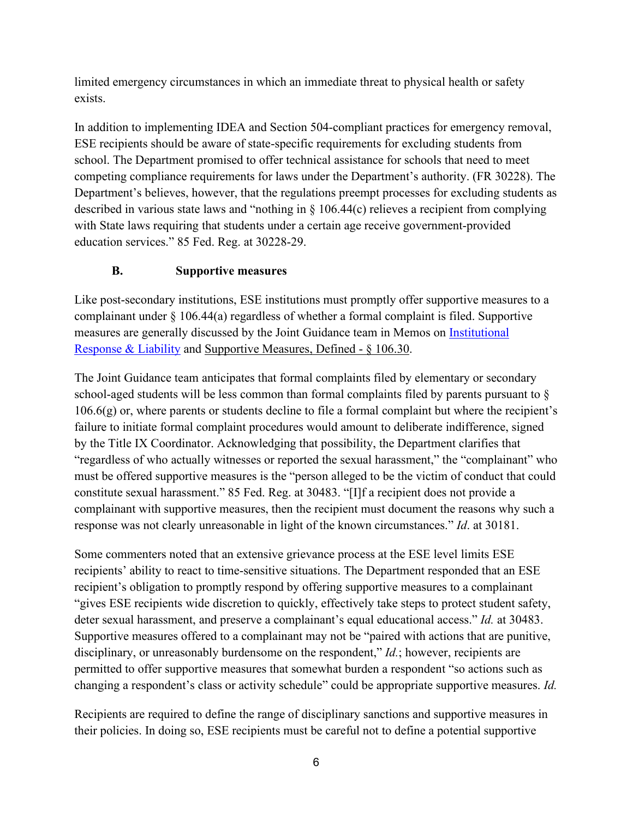limited emergency circumstances in which an immediate threat to physical health or safety exists.

In addition to implementing IDEA and Section 504-compliant practices for emergency removal, ESE recipients should be aware of state-specific requirements for excluding students from school. The Department promised to offer technical assistance for schools that need to meet competing compliance requirements for laws under the Department's authority. (FR 30228). The Department's believes, however, that the regulations preempt processes for excluding students as described in various state laws and "nothing in § 106.44(c) relieves a recipient from complying with State laws requiring that students under a certain age receive government-provided education services." 85 Fed. Reg. at 30228-29.

## **B. Supportive measures**

Like post-secondary institutions, ESE institutions must promptly offer supportive measures to a complainant under § 106.44(a) regardless of whether a formal complaint is filed. Supportive measures are generally discussed by the Joint Guidance team in Memos on *Institutional* [Response & Liability](https://system.suny.edu/media/suny/content-assets/documents/sci/tix2020/Geography-of-Jurisdiction-and-Institutional-Liability.pdf) and Supportive Measures, Defined - § 106.30.

The Joint Guidance team anticipates that formal complaints filed by elementary or secondary school-aged students will be less common than formal complaints filed by parents pursuant to §  $106.6(g)$  or, where parents or students decline to file a formal complaint but where the recipient's failure to initiate formal complaint procedures would amount to deliberate indifference, signed by the Title IX Coordinator. Acknowledging that possibility, the Department clarifies that "regardless of who actually witnesses or reported the sexual harassment," the "complainant" who must be offered supportive measures is the "person alleged to be the victim of conduct that could constitute sexual harassment." 85 Fed. Reg. at 30483. "[I]f a recipient does not provide a complainant with supportive measures, then the recipient must document the reasons why such a response was not clearly unreasonable in light of the known circumstances." *Id*. at 30181.

Some commenters noted that an extensive grievance process at the ESE level limits ESE recipients' ability to react to time-sensitive situations. The Department responded that an ESE recipient's obligation to promptly respond by offering supportive measures to a complainant "gives ESE recipients wide discretion to quickly, effectively take steps to protect student safety, deter sexual harassment, and preserve a complainant's equal educational access." *Id.* at 30483. Supportive measures offered to a complainant may not be "paired with actions that are punitive, disciplinary, or unreasonably burdensome on the respondent," *Id.*; however, recipients are permitted to offer supportive measures that somewhat burden a respondent "so actions such as changing a respondent's class or activity schedule" could be appropriate supportive measures. *Id.*

Recipients are required to define the range of disciplinary sanctions and supportive measures in their policies. In doing so, ESE recipients must be careful not to define a potential supportive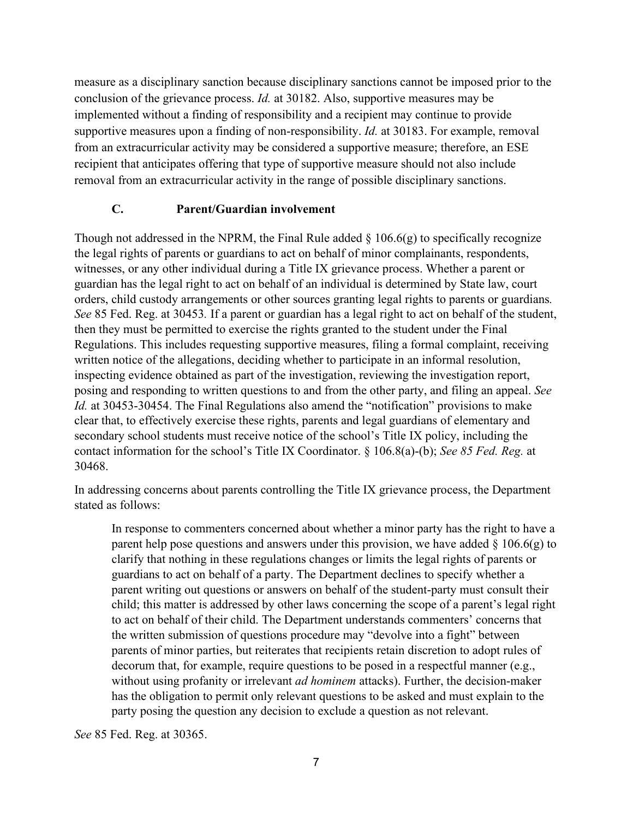measure as a disciplinary sanction because disciplinary sanctions cannot be imposed prior to the conclusion of the grievance process. *Id.* at 30182. Also, supportive measures may be implemented without a finding of responsibility and a recipient may continue to provide supportive measures upon a finding of non-responsibility. *Id.* at 30183. For example, removal from an extracurricular activity may be considered a supportive measure; therefore, an ESE recipient that anticipates offering that type of supportive measure should not also include removal from an extracurricular activity in the range of possible disciplinary sanctions.

#### **C. Parent/Guardian involvement**

Though not addressed in the NPRM, the Final Rule added  $\S$  106.6(g) to specifically recognize the legal rights of parents or guardians to act on behalf of minor complainants, respondents, witnesses, or any other individual during a Title IX grievance process. Whether a parent or guardian has the legal right to act on behalf of an individual is determined by State law, court orders, child custody arrangements or other sources granting legal rights to parents or guardians*. See* 85 Fed. Reg. at 30453*.* If a parent or guardian has a legal right to act on behalf of the student, then they must be permitted to exercise the rights granted to the student under the Final Regulations. This includes requesting supportive measures, filing a formal complaint, receiving written notice of the allegations, deciding whether to participate in an informal resolution, inspecting evidence obtained as part of the investigation, reviewing the investigation report, posing and responding to written questions to and from the other party, and filing an appeal. *See Id.* at 30453-30454. The Final Regulations also amend the "notification" provisions to make clear that, to effectively exercise these rights, parents and legal guardians of elementary and secondary school students must receive notice of the school's Title IX policy, including the contact information for the school's Title IX Coordinator. § 106.8(a)-(b); *See 85 Fed. Reg.* at 30468.

In addressing concerns about parents controlling the Title IX grievance process, the Department stated as follows:

In response to commenters concerned about whether a minor party has the right to have a parent help pose questions and answers under this provision, we have added  $\S 106.6(g)$  to clarify that nothing in these regulations changes or limits the legal rights of parents or guardians to act on behalf of a party. The Department declines to specify whether a parent writing out questions or answers on behalf of the student-party must consult their child; this matter is addressed by other laws concerning the scope of a parent's legal right to act on behalf of their child. The Department understands commenters' concerns that the written submission of questions procedure may "devolve into a fight" between parents of minor parties, but reiterates that recipients retain discretion to adopt rules of decorum that, for example, require questions to be posed in a respectful manner (e.g., without using profanity or irrelevant *ad hominem* attacks). Further, the decision-maker has the obligation to permit only relevant questions to be asked and must explain to the party posing the question any decision to exclude a question as not relevant.

*See* 85 Fed. Reg. at 30365.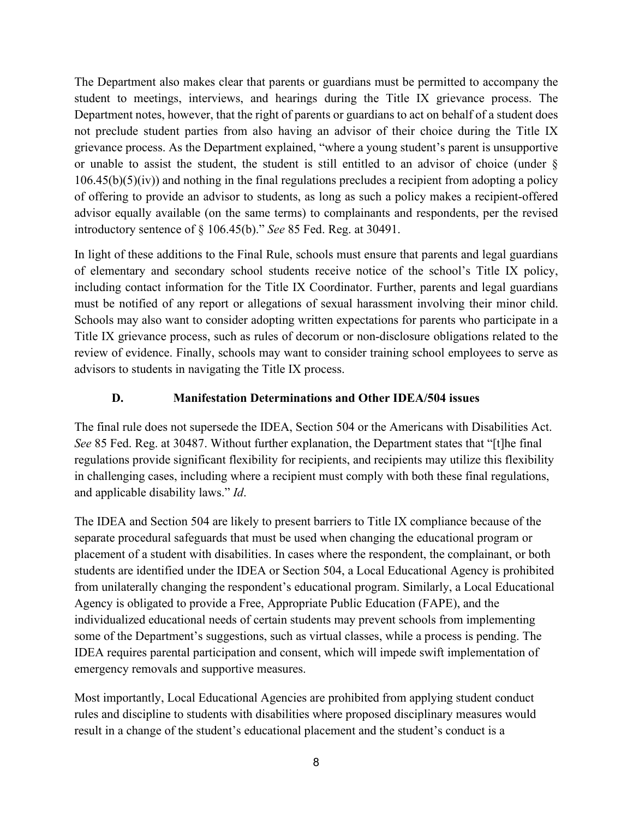The Department also makes clear that parents or guardians must be permitted to accompany the student to meetings, interviews, and hearings during the Title IX grievance process. The Department notes, however, that the right of parents or guardians to act on behalf of a student does not preclude student parties from also having an advisor of their choice during the Title IX grievance process. As the Department explained, "where a young student's parent is unsupportive or unable to assist the student, the student is still entitled to an advisor of choice (under §  $106.45(b)(5)(iv)$  and nothing in the final regulations precludes a recipient from adopting a policy of offering to provide an advisor to students, as long as such a policy makes a recipient-offered advisor equally available (on the same terms) to complainants and respondents, per the revised introductory sentence of § 106.45(b)." *See* 85 Fed. Reg. at 30491.

In light of these additions to the Final Rule, schools must ensure that parents and legal guardians of elementary and secondary school students receive notice of the school's Title IX policy, including contact information for the Title IX Coordinator. Further, parents and legal guardians must be notified of any report or allegations of sexual harassment involving their minor child. Schools may also want to consider adopting written expectations for parents who participate in a Title IX grievance process, such as rules of decorum or non-disclosure obligations related to the review of evidence. Finally, schools may want to consider training school employees to serve as advisors to students in navigating the Title IX process.

## **D. Manifestation Determinations and Other IDEA/504 issues**

The final rule does not supersede the IDEA, Section 504 or the Americans with Disabilities Act. *See* 85 Fed. Reg. at 30487. Without further explanation, the Department states that "[t]he final regulations provide significant flexibility for recipients, and recipients may utilize this flexibility in challenging cases, including where a recipient must comply with both these final regulations, and applicable disability laws." *Id*.

The IDEA and Section 504 are likely to present barriers to Title IX compliance because of the separate procedural safeguards that must be used when changing the educational program or placement of a student with disabilities. In cases where the respondent, the complainant, or both students are identified under the IDEA or Section 504, a Local Educational Agency is prohibited from unilaterally changing the respondent's educational program. Similarly, a Local Educational Agency is obligated to provide a Free, Appropriate Public Education (FAPE), and the individualized educational needs of certain students may prevent schools from implementing some of the Department's suggestions, such as virtual classes, while a process is pending. The IDEA requires parental participation and consent, which will impede swift implementation of emergency removals and supportive measures.

Most importantly, Local Educational Agencies are prohibited from applying student conduct rules and discipline to students with disabilities where proposed disciplinary measures would result in a change of the student's educational placement and the student's conduct is a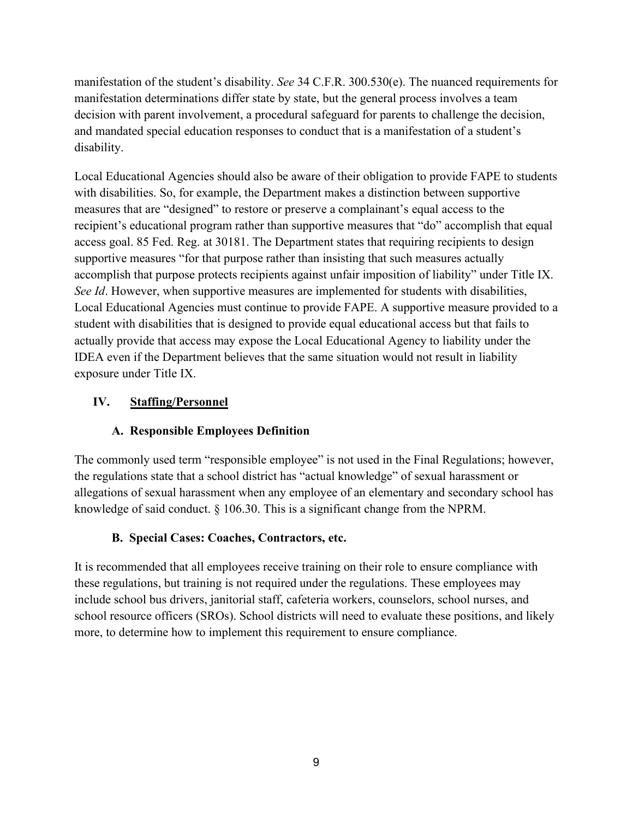manifestation of the student's disability. *See* 34 C.F.R. 300.530(e). The nuanced requirements for manifestation determinations differ state by state, but the general process involves a team decision with parent involvement, a procedural safeguard for parents to challenge the decision, and mandated special education responses to conduct that is a manifestation of a student's disability.

Local Educational Agencies should also be aware of their obligation to provide FAPE to students with disabilities. So, for example, the Department makes a distinction between supportive measures that are "designed" to restore or preserve a complainant's equal access to the recipient's educational program rather than supportive measures that "do" accomplish that equal access goal. 85 Fed. Reg. at 30181. The Department states that requiring recipients to design supportive measures "for that purpose rather than insisting that such measures actually accomplish that purpose protects recipients against unfair imposition of liability" under Title IX. *See Id*. However, when supportive measures are implemented for students with disabilities, Local Educational Agencies must continue to provide FAPE. A supportive measure provided to a student with disabilities that is designed to provide equal educational access but that fails to actually provide that access may expose the Local Educational Agency to liability under the IDEA even if the Department believes that the same situation would not result in liability exposure under Title IX.

## **IV. Staffing/Personnel**

## **A. Responsible Employees Definition**

The commonly used term "responsible employee" is not used in the Final Regulations; however, the regulations state that a school district has "actual knowledge" of sexual harassment or allegations of sexual harassment when any employee of an elementary and secondary school has knowledge of said conduct. § 106.30. This is a significant change from the NPRM.

## **B. Special Cases: Coaches, Contractors, etc.**

It is recommended that all employees receive training on their role to ensure compliance with these regulations, but training is not required under the regulations. These employees may include school bus drivers, janitorial staff, cafeteria workers, counselors, school nurses, and school resource officers (SROs). School districts will need to evaluate these positions, and likely more, to determine how to implement this requirement to ensure compliance.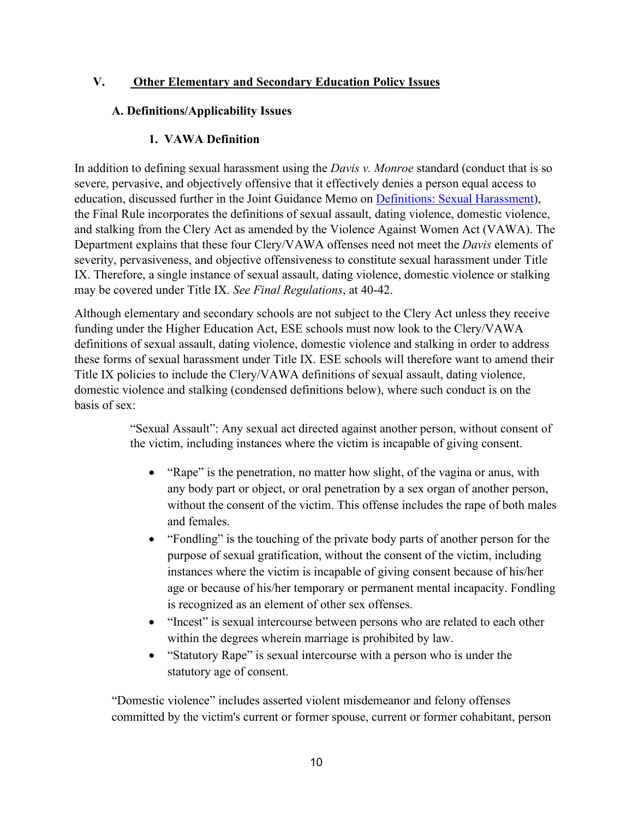## **V. Other Elementary and Secondary Education Policy Issues**

#### **A. Definitions/Applicability Issues**

#### **1. VAWA Definition**

In addition to defining sexual harassment using the *Davis v. Monroe* standard (conduct that is so severe, pervasive, and objectively offensive that it effectively denies a person equal access to education, discussed further in the Joint Guidance Memo on [Definitions: Sexual Harassment\)](https://system.suny.edu/media/suny/content-assets/documents/sci/tix2020/Sexual-Harassment.pdf), the Final Rule incorporates the definitions of sexual assault, dating violence, domestic violence, and stalking from the Clery Act as amended by the Violence Against Women Act (VAWA). The Department explains that these four Clery/VAWA offenses need not meet the *Davis* elements of severity, pervasiveness, and objective offensiveness to constitute sexual harassment under Title IX. Therefore, a single instance of sexual assault, dating violence, domestic violence or stalking may be covered under Title IX. *See Final Regulations*, at 40-42.

Although elementary and secondary schools are not subject to the Clery Act unless they receive funding under the Higher Education Act, ESE schools must now look to the Clery/VAWA definitions of sexual assault, dating violence, domestic violence and stalking in order to address these forms of sexual harassment under Title IX. ESE schools will therefore want to amend their Title IX policies to include the Clery/VAWA definitions of sexual assault, dating violence, domestic violence and stalking (condensed definitions below), where such conduct is on the basis of sex:

> "Sexual Assault": Any sexual act directed against another person, without consent of the victim, including instances where the victim is incapable of giving consent.

- "Rape" is the penetration, no matter how slight, of the vagina or anus, with any body part or object, or oral penetration by a sex organ of another person, without the consent of the victim. This offense includes the rape of both males and females.
- "Fondling" is the touching of the private body parts of another person for the purpose of sexual gratification, without the consent of the victim, including instances where the victim is incapable of giving consent because of his/her age or because of his/her temporary or permanent mental incapacity. Fondling is recognized as an element of other sex offenses.
- "Incest" is sexual intercourse between persons who are related to each other within the degrees wherein marriage is prohibited by law.
- "Statutory Rape" is sexual intercourse with a person who is under the statutory age of consent.

"Domestic violence" includes asserted violent misdemeanor and felony offenses committed by the victim's current or former spouse, current or former cohabitant, person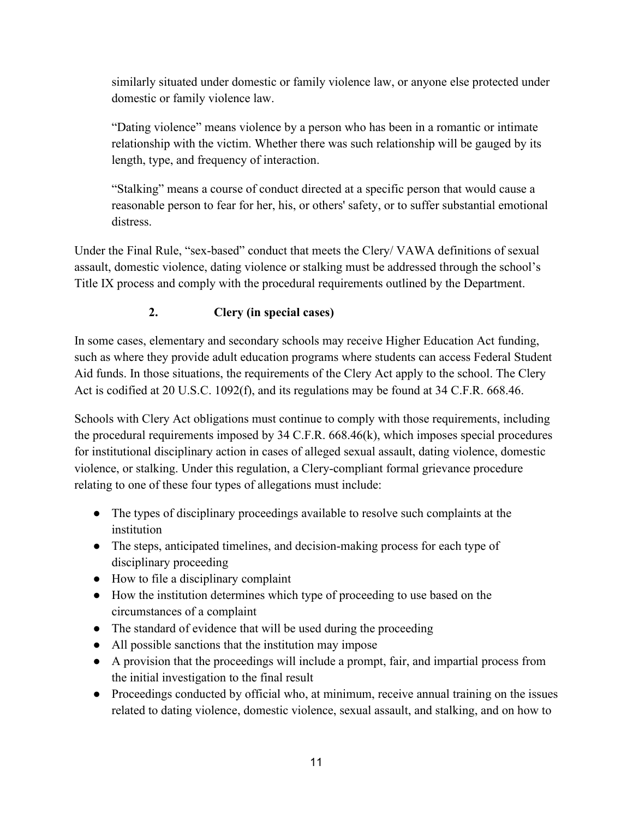similarly situated under domestic or family violence law, or anyone else protected under domestic or family violence law.

"Dating violence" means violence by a person who has been in a romantic or intimate relationship with the victim. Whether there was such relationship will be gauged by its length, type, and frequency of interaction.

"Stalking" means a course of conduct directed at a specific person that would cause a reasonable person to fear for her, his, or others' safety, or to suffer substantial emotional distress.

Under the Final Rule, "sex-based" conduct that meets the Clery/ VAWA definitions of sexual assault, domestic violence, dating violence or stalking must be addressed through the school's Title IX process and comply with the procedural requirements outlined by the Department.

# **2. Clery (in special cases)**

In some cases, elementary and secondary schools may receive Higher Education Act funding, such as where they provide adult education programs where students can access Federal Student Aid funds. In those situations, the requirements of the Clery Act apply to the school. The Clery Act is codified at 20 U.S.C. 1092(f), and its regulations may be found at 34 C.F.R. 668.46.

Schools with Clery Act obligations must continue to comply with those requirements, including the procedural requirements imposed by 34 C.F.R. 668.46(k), which imposes special procedures for institutional disciplinary action in cases of alleged sexual assault, dating violence, domestic violence, or stalking. Under this regulation, a Clery-compliant formal grievance procedure relating to one of these four types of allegations must include:

- The types of disciplinary proceedings available to resolve such complaints at the institution
- The steps, anticipated timelines, and decision-making process for each type of disciplinary proceeding
- How to file a disciplinary complaint
- How the institution determines which type of proceeding to use based on the circumstances of a complaint
- The standard of evidence that will be used during the proceeding
- All possible sanctions that the institution may impose
- A provision that the proceedings will include a prompt, fair, and impartial process from the initial investigation to the final result
- Proceedings conducted by official who, at minimum, receive annual training on the issues related to dating violence, domestic violence, sexual assault, and stalking, and on how to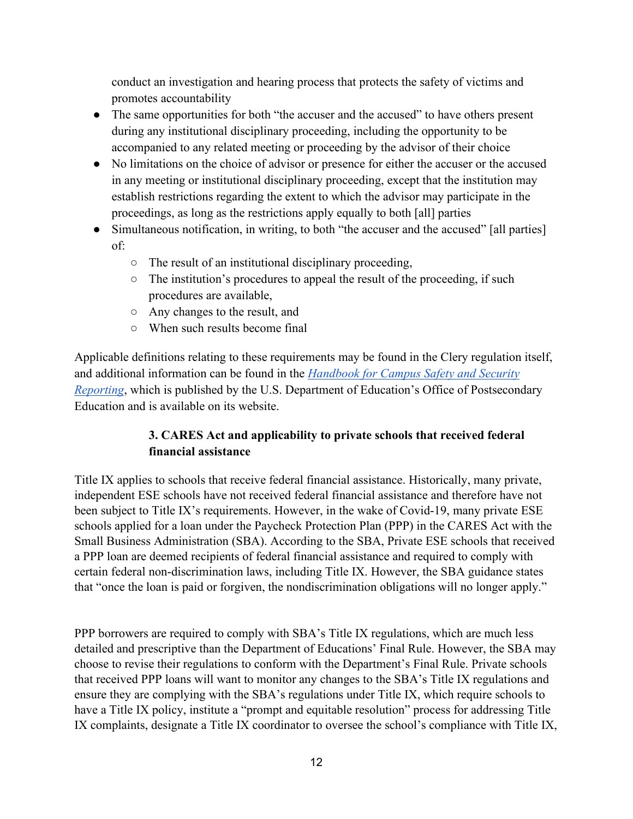conduct an investigation and hearing process that protects the safety of victims and promotes accountability

- The same opportunities for both "the accuser and the accused" to have others present during any institutional disciplinary proceeding, including the opportunity to be accompanied to any related meeting or proceeding by the advisor of their choice
- No limitations on the choice of advisor or presence for either the accuser or the accused in any meeting or institutional disciplinary proceeding, except that the institution may establish restrictions regarding the extent to which the advisor may participate in the proceedings, as long as the restrictions apply equally to both [all] parties
- Simultaneous notification, in writing, to both "the accuser and the accused" [all parties] of:
	- The result of an institutional disciplinary proceeding,
	- The institution's procedures to appeal the result of the proceeding, if such procedures are available,
	- Any changes to the result, and
	- When such results become final

Applicable definitions relating to these requirements may be found in the Clery regulation itself, and additional information can be found in the *[Handbook for Campus Safety and Security](https://www2.ed.gov/admins/lead/safety/handbook.pdf)  [Reporting](https://www2.ed.gov/admins/lead/safety/handbook.pdf)*, which is published by the U.S. Department of Education's Office of Postsecondary Education and is available on its website.

## **3. CARES Act and applicability to private schools that received federal financial assistance**

Title IX applies to schools that receive federal financial assistance. Historically, many private, independent ESE schools have not received federal financial assistance and therefore have not been subject to Title IX's requirements. However, in the wake of Covid-19, many private ESE schools applied for a loan under the Paycheck Protection Plan (PPP) in the CARES Act with the Small Business Administration (SBA). According to the SBA, Private ESE schools that received a PPP loan are deemed recipients of federal financial assistance and required to comply with certain federal non-discrimination laws, including Title IX. However, the SBA guidance states that "once the loan is paid or forgiven, the nondiscrimination obligations will no longer apply."

PPP borrowers are required to comply with SBA's Title IX regulations, which are much less detailed and prescriptive than the Department of Educations' Final Rule. However, the SBA may choose to revise their regulations to conform with the Department's Final Rule. Private schools that received PPP loans will want to monitor any changes to the SBA's Title IX regulations and ensure they are complying with the SBA's regulations under Title IX, which require schools to have a Title IX policy, institute a "prompt and equitable resolution" process for addressing Title IX complaints, designate a Title IX coordinator to oversee the school's compliance with Title IX,